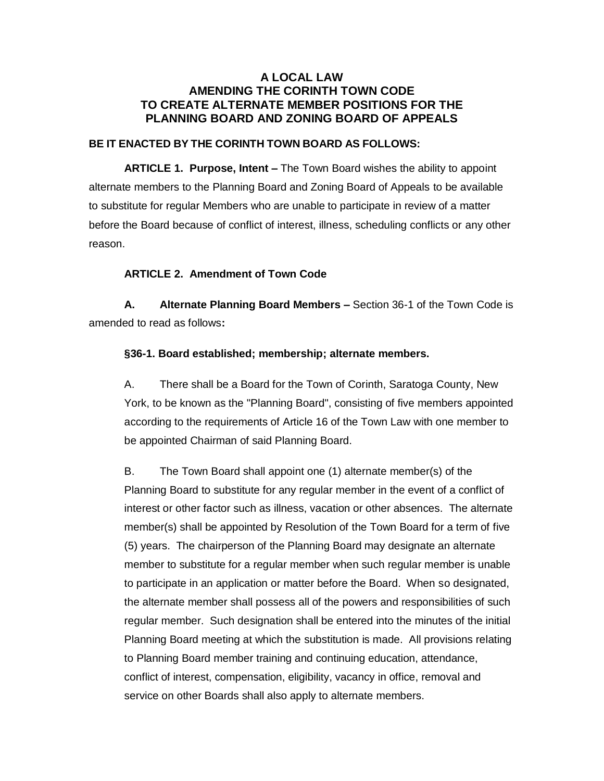# **A LOCAL LAW AMENDING THE CORINTH TOWN CODE TO CREATE ALTERNATE MEMBER POSITIONS FOR THE PLANNING BOARD AND ZONING BOARD OF APPEALS**

### **BE IT ENACTED BY THE CORINTH TOWN BOARD AS FOLLOWS:**

**ARTICLE 1. Purpose, Intent –** The Town Board wishes the ability to appoint alternate members to the Planning Board and Zoning Board of Appeals to be available to substitute for regular Members who are unable to participate in review of a matter before the Board because of conflict of interest, illness, scheduling conflicts or any other reason.

## **ARTICLE 2. Amendment of Town Code**

**A. Alternate Planning Board Members –** Section 36-1 of the Town Code is amended to read as follows**:**

#### **§36-1. Board established; membership; alternate members.**

A. There shall be a Board for the Town of Corinth, Saratoga County, New York, to be known as the "Planning Board", consisting of five members appointed according to the requirements of Article 16 of the Town Law with one member to be appointed Chairman of said Planning Board.

B. The Town Board shall appoint one (1) alternate member(s) of the Planning Board to substitute for any regular member in the event of a conflict of interest or other factor such as illness, vacation or other absences. The alternate member(s) shall be appointed by Resolution of the Town Board for a term of five (5) years. The chairperson of the Planning Board may designate an alternate member to substitute for a regular member when such regular member is unable to participate in an application or matter before the Board. When so designated, the alternate member shall possess all of the powers and responsibilities of such regular member. Such designation shall be entered into the minutes of the initial Planning Board meeting at which the substitution is made. All provisions relating to Planning Board member training and continuing education, attendance, conflict of interest, compensation, eligibility, vacancy in office, removal and service on other Boards shall also apply to alternate members.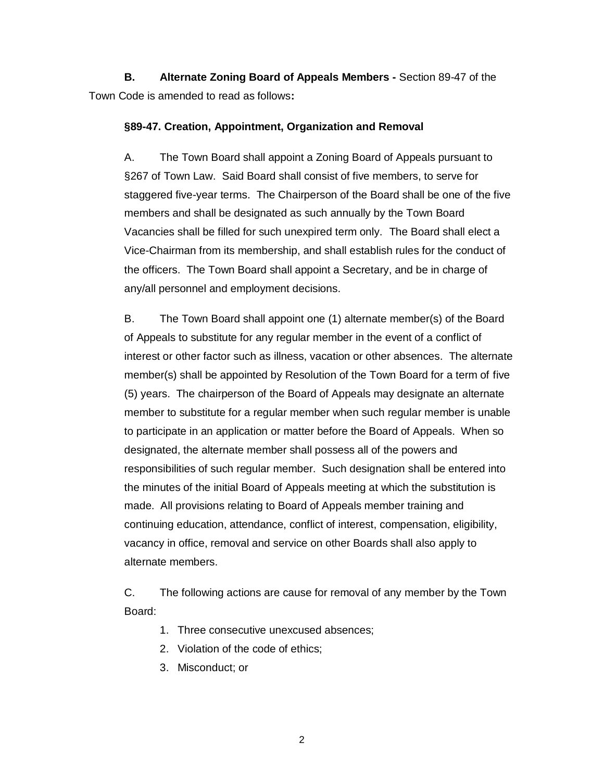**B. Alternate Zoning Board of Appeals Members -** Section 89-47 of the Town Code is amended to read as follows**:**

### **§89-47. Creation, Appointment, Organization and Removal**

A. The Town Board shall appoint a Zoning Board of Appeals pursuant to §267 of Town Law. Said Board shall consist of five members, to serve for staggered five-year terms. The Chairperson of the Board shall be one of the five members and shall be designated as such annually by the Town Board Vacancies shall be filled for such unexpired term only. The Board shall elect a Vice-Chairman from its membership, and shall establish rules for the conduct of the officers. The Town Board shall appoint a Secretary, and be in charge of any/all personnel and employment decisions.

B. The Town Board shall appoint one (1) alternate member(s) of the Board of Appeals to substitute for any regular member in the event of a conflict of interest or other factor such as illness, vacation or other absences. The alternate member(s) shall be appointed by Resolution of the Town Board for a term of five (5) years. The chairperson of the Board of Appeals may designate an alternate member to substitute for a regular member when such regular member is unable to participate in an application or matter before the Board of Appeals. When so designated, the alternate member shall possess all of the powers and responsibilities of such regular member. Such designation shall be entered into the minutes of the initial Board of Appeals meeting at which the substitution is made. All provisions relating to Board of Appeals member training and continuing education, attendance, conflict of interest, compensation, eligibility, vacancy in office, removal and service on other Boards shall also apply to alternate members.

C. The following actions are cause for removal of any member by the Town Board:

- 1. Three consecutive unexcused absences;
- 2. Violation of the code of ethics;
- 3. Misconduct; or

2